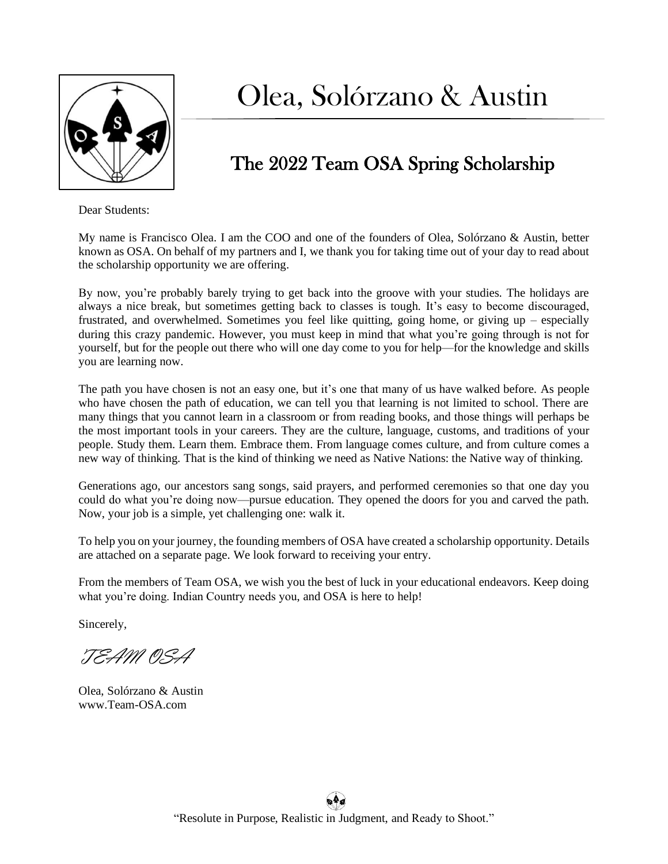

## Olea, Solórzano & Austin

## The 2022 Team OSA Spring Scholarship

Dear Students:

My name is Francisco Olea. I am the COO and one of the founders of Olea, Solórzano & Austin, better known as OSA. On behalf of my partners and I, we thank you for taking time out of your day to read about the scholarship opportunity we are offering.

By now, you're probably barely trying to get back into the groove with your studies. The holidays are always a nice break, but sometimes getting back to classes is tough. It's easy to become discouraged, frustrated, and overwhelmed. Sometimes you feel like quitting, going home, or giving up – especially during this crazy pandemic. However, you must keep in mind that what you're going through is not for yourself, but for the people out there who will one day come to you for help—for the knowledge and skills you are learning now.

The path you have chosen is not an easy one, but it's one that many of us have walked before. As people who have chosen the path of education, we can tell you that learning is not limited to school. There are many things that you cannot learn in a classroom or from reading books, and those things will perhaps be the most important tools in your careers. They are the culture, language, customs, and traditions of your people. Study them. Learn them. Embrace them. From language comes culture, and from culture comes a new way of thinking. That is the kind of thinking we need as Native Nations: the Native way of thinking.

Generations ago, our ancestors sang songs, said prayers, and performed ceremonies so that one day you could do what you're doing now—pursue education. They opened the doors for you and carved the path. Now, your job is a simple, yet challenging one: walk it.

To help you on your journey, the founding members of OSA have created a scholarship opportunity. Details are attached on a separate page. We look forward to receiving your entry.

From the members of Team OSA, we wish you the best of luck in your educational endeavors. Keep doing what you're doing. Indian Country needs you, and OSA is here to help!

Sincerely,

TEAM OSA

Olea, Solórzano & Austin www.Team-OSA.com